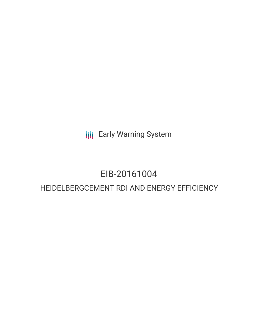**III** Early Warning System

# EIB-20161004

# HEIDELBERGCEMENT RDI AND ENERGY EFFICIENCY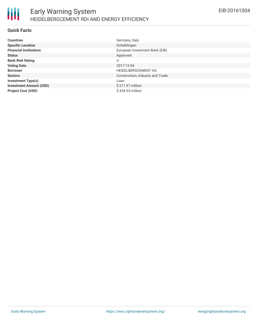

## **Quick Facts**

| <b>Countries</b>               | Germany, Italy                   |
|--------------------------------|----------------------------------|
| <b>Specific Location</b>       | Schelklingen                     |
| <b>Financial Institutions</b>  | European Investment Bank (EIB)   |
| <b>Status</b>                  | Approved                         |
| <b>Bank Risk Rating</b>        | U                                |
| <b>Voting Date</b>             | 2017-12-04                       |
| <b>Borrower</b>                | <b>HEIDELBERGCEMENT AG</b>       |
| <b>Sectors</b>                 | Construction, Industry and Trade |
| <b>Investment Type(s)</b>      | Loan                             |
| <b>Investment Amount (USD)</b> | \$211.97 million                 |
| <b>Project Cost (USD)</b>      | \$434.53 million                 |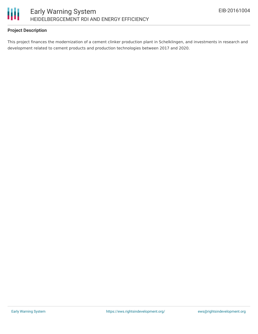

# **Project Description**

This project finances the modernization of a cement clinker production plant in Schelklingen, and investments in research and development related to cement products and production technologies between 2017 and 2020.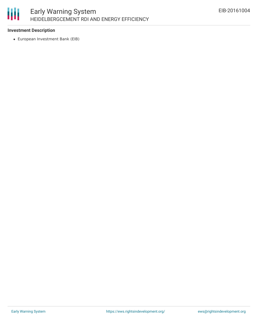

# **Investment Description**

European Investment Bank (EIB)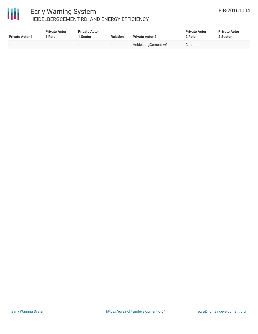# 冊

# Early Warning System HEIDELBERGCEMENT RDI AND ENERGY EFFICIENCY

| <b>Private Actor 1</b> | <b>Private Actor</b><br>* Role | <b>Private Actor</b><br>l Sector | <b>Relation</b> | <b>Private Actor 2</b> | <b>Private Actor</b><br>2 Role | <b>Private Actor</b><br>2 Sector |
|------------------------|--------------------------------|----------------------------------|-----------------|------------------------|--------------------------------|----------------------------------|
| $\sim$                 | $\sim$                         |                                  | $\sim$          | HeidelbergCement AG    | Client                         | $\overline{\phantom{a}}$         |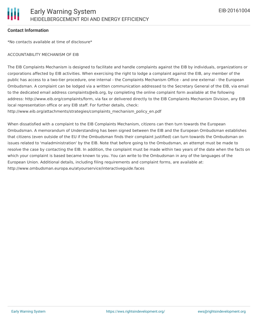### **Contact Information**

\*No contacts available at time of disclosure\*

#### ACCOUNTABILITY MECHANISM OF EIB

The EIB Complaints Mechanism is designed to facilitate and handle complaints against the EIB by individuals, organizations or corporations affected by EIB activities. When exercising the right to lodge a complaint against the EIB, any member of the public has access to a two-tier procedure, one internal - the Complaints Mechanism Office - and one external - the European Ombudsman. A complaint can be lodged via a written communication addressed to the Secretary General of the EIB, via email to the dedicated email address complaints@eib.org, by completing the online complaint form available at the following address: http://www.eib.org/complaints/form, via fax or delivered directly to the EIB Complaints Mechanism Division, any EIB local representation office or any EIB staff. For further details, check:

http://www.eib.org/attachments/strategies/complaints\_mechanism\_policy\_en.pdf

When dissatisfied with a complaint to the EIB Complaints Mechanism, citizens can then turn towards the European Ombudsman. A memorandum of Understanding has been signed between the EIB and the European Ombudsman establishes that citizens (even outside of the EU if the Ombudsman finds their complaint justified) can turn towards the Ombudsman on issues related to 'maladministration' by the EIB. Note that before going to the Ombudsman, an attempt must be made to resolve the case by contacting the EIB. In addition, the complaint must be made within two years of the date when the facts on which your complaint is based became known to you. You can write to the Ombudsman in any of the languages of the European Union. Additional details, including filing requirements and complaint forms, are available at: http://www.ombudsman.europa.eu/atyourservice/interactiveguide.faces